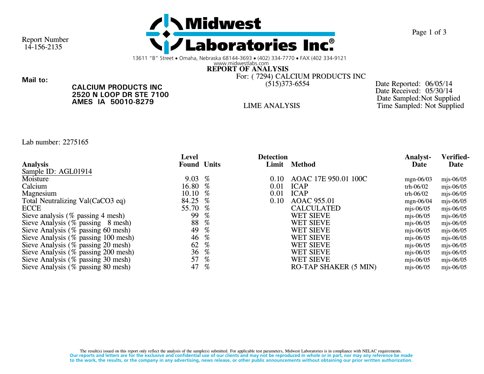

Page 1 of 3

Report Number14-156-2135

13611 "B" Street • Omaha, Nebraska 68144-3693 • (402) 334-7770 • FAX (402 334-9121

www.midwestlabs.comREPORT OF ANALYSIS

For: ( 7294) CALCIUM PRODUCTS INC

Mail to:

CALCIUM PRODUCTS INC 2520 N LOOP DR STE 7100AMES IA 50010-8279

(515)373-6554 Date Reported: 06/05/14 Date Received: 05/30/14 Date Sampled:Not SuppliedLIME ANALYSIS Time Sampled: Not Supplied

Lab number: 2275165

|                                     | Level              |                                                                                                                                    | <b>Detection</b> |                              | <b>Analyst-</b> | Verified- |
|-------------------------------------|--------------------|------------------------------------------------------------------------------------------------------------------------------------|------------------|------------------------------|-----------------|-----------|
| <b>Analysis</b>                     | <b>Found Units</b> |                                                                                                                                    | Limit            | <b>Method</b>                | Date            | Date      |
| Sample ID: AGL01914                 |                    |                                                                                                                                    |                  |                              |                 |           |
| Moisture                            | 9.03               | %                                                                                                                                  | 0.10             | AOAC 17E 950.01 100C         | mgn-06/03       | mjs-06/05 |
| Calcium                             | 16.80              | $\%$                                                                                                                               | 0.01             | <b>ICAP</b>                  | trh-06/02       | mjs-06/05 |
| Magnesium                           | 10.10              | %                                                                                                                                  | 0.01             | <b>ICAP</b>                  | trh-06/02       | mjs-06/05 |
| Total Neutralizing Val(CaCO3 eq)    | 84.25              | $\%$                                                                                                                               | 0.10             | AOAC 955.01                  | mgn-06/04       | mjs-06/05 |
| <b>ECCE</b>                         | 55.70              | %                                                                                                                                  |                  | <b>CALCULATED</b>            | mjs-06/05       | mjs-06/05 |
| Sieve analysis (% passing 4 mesh)   | 99                 | $\%$                                                                                                                               |                  | <b>WET SIEVE</b>             | mjs-06/05       | mjs-06/05 |
| Sieve Analysis (% passing 8 mesh)   | 88                 | $\%$                                                                                                                               |                  | <b>WET SIEVE</b>             | mjs-06/05       | mjs-06/05 |
| Sieve Analysis (% passing 60 mesh)  | 49                 | $\%$                                                                                                                               |                  | <b>WET SIEVE</b>             | mjs-06/05       | mjs-06/05 |
| Sieve Analysis (% passing 100 mesh) | 46                 | $% \mathcal{P}_{\mathrm{C}}\left( \mathcal{P}_{\mathrm{C}}\right) =\mathcal{P}_{\mathrm{C}}\left( \mathcal{P}_{\mathrm{C}}\right)$ |                  | <b>WET SIEVE</b>             | mjs-06/05       | mjs-06/05 |
| Sieve Analysis (% passing 20 mesh)  | 62                 | %                                                                                                                                  |                  | <b>WET SIEVE</b>             | mjs-06/05       | mjs-06/05 |
| Sieve Analysis (% passing 200 mesh) | 36                 | %                                                                                                                                  |                  | <b>WET SIEVE</b>             | mjs-06/05       | mjs-06/05 |
| Sieve Analysis (% passing 30 mesh)  | 57                 | %                                                                                                                                  |                  | <b>WET SIEVE</b>             | mjs-06/05       | mjs-06/05 |
| Sieve Analysis (% passing 80 mesh)  | 47                 | %                                                                                                                                  |                  | <b>RO-TAP SHAKER (5 MIN)</b> | mjs-06/05       | mjs-06/05 |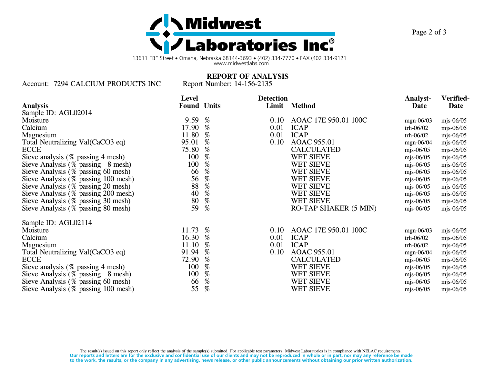

13611 "B" Street • Omaha, Nebraska 68144-3693 • (402) 334-7770 • FAX (402 334-9121 www.midwestlabs.com

Account: 7294 CALCIUM PRODUCTS INC Report Number: 14-156-2135

REPORT OF ANALYSIS

|                                        | Level              |                                                                                                                                    | <b>Detection</b> |                              | <b>Analyst-</b> | Verified-   |
|----------------------------------------|--------------------|------------------------------------------------------------------------------------------------------------------------------------|------------------|------------------------------|-----------------|-------------|
| <b>Analysis</b>                        | <b>Found Units</b> |                                                                                                                                    |                  | Limit Method                 | Date            | Date        |
| Sample ID: AGL02014                    |                    |                                                                                                                                    |                  |                              |                 |             |
| Moisture                               | 9.59               | %                                                                                                                                  | 0.10             | AOAC 17E 950.01 100C         | mgn-06/03       | mjs-06/05   |
| Calcium                                | 17.90              | $\%$                                                                                                                               | 0.01             | <b>ICAP</b>                  | trh-06/02       | mjs-06/05   |
| Magnesium                              | 11.80              | $\%$                                                                                                                               | 0.01             | <b>ICAP</b>                  | trh-06/02       | mjs-06/05   |
| Total Neutralizing Val(CaCO3 eq)       | 95.01              | $% \mathcal{P}_{\mathrm{C}}\left( \mathcal{P}_{\mathrm{C}}\right) =\left( \mathcal{P}_{\mathrm{C}}\right) ^{\prime }$              | 0.10             | AOAC 955.01                  | mgn-06/04       | $mjs-06/05$ |
| <b>ECCE</b>                            | 75.80              | %                                                                                                                                  |                  | <b>CALCULATED</b>            | mjs-06/05       | mjs-06/05   |
| Sieve analysis (% passing 4 mesh)      | 100                | $% \mathcal{P}_{\mathrm{C}}\left( \mathcal{P}_{\mathrm{C}}\right) =\left( \mathcal{P}_{\mathrm{C}}\right) ^{\prime }$              |                  | <b>WET SIEVE</b>             | mjs-06/05       | mjs-06/05   |
| Sieve Analysis (% passing 8 mesh)      | 100                | $\%$                                                                                                                               |                  | <b>WET SIEVE</b>             | mjs-06/05       | mjs-06/05   |
| Sieve Analysis (% passing 60 mesh)     | 66                 | $% \mathcal{P}_{\mathrm{C}}\left( \mathcal{P}_{\mathrm{C}}\right) =\mathcal{P}_{\mathrm{C}}\left( \mathcal{P}_{\mathrm{C}}\right)$ |                  | WET SIEVE                    | mjs-06/05       | mjs-06/05   |
| Sieve Analysis (% passing 100 mesh)    | 56                 | $\%$                                                                                                                               |                  | <b>WET SIEVE</b>             | mjs-06/05       | mjs-06/05   |
| Sieve Analysis (% passing 20 mesh)     | 88                 | $\%$                                                                                                                               |                  | <b>WET SIEVE</b>             | mjs-06/05       | $mjs-06/05$ |
| Sieve Analysis (% passing 200 mesh)    | 40                 | $% \mathcal{P}_{\mathrm{C}}\left( \mathcal{P}_{\mathrm{C}}\right)$                                                                 |                  | WET SIEVE                    | mjs-06/05       | mjs-06/05   |
| Sieve Analysis (% passing 30 mesh)     | 80                 | $\%$                                                                                                                               |                  | WET SIEVE                    | mjs-06/05       | mjs-06/05   |
| Sieve Analysis (% passing 80 mesh)     | 59                 | %                                                                                                                                  |                  | <b>RO-TAP SHAKER (5 MIN)</b> | mjs-06/05       | mjs-06/05   |
| Sample ID: AGL02114                    |                    |                                                                                                                                    |                  |                              |                 |             |
| Moisture                               | 11.73              | %                                                                                                                                  | 0.10             | AOAC 17E 950.01 100C         | mgn-06/03       | mjs-06/05   |
| Calcium                                | 16.30              | %                                                                                                                                  | 0.01             | <b>ICAP</b>                  | trh-06/02       | mjs-06/05   |
| Magnesium                              | 11.10              | $% \mathcal{P}_{\mathrm{C}}\left( \mathcal{P}_{\mathrm{C}}\right)$                                                                 | 0.01             | <b>ICAP</b>                  | trh-06/02       | mjs-06/05   |
| Total Neutralizing Val(CaCO3 eq)       | 91.94              | %                                                                                                                                  | 0.10             | AOAC 955.01                  | mgn-06/04       | mjs-06/05   |
| <b>ECCE</b>                            | 72.90              | $% \mathcal{P}_{\mathrm{C}}\left( \mathcal{P}_{\mathrm{C}}\right)$                                                                 |                  | <b>CALCULATED</b>            | mjs-06/05       | mjs-06/05   |
| Sieve analysis $(\%$ passing 4 mesh)   | 100                | $\%$                                                                                                                               |                  | <b>WET SIEVE</b>             | mjs-06/05       | mjs-06/05   |
| Sieve Analysis $(\%$ passing $8$ mesh) | 100                | %                                                                                                                                  |                  | <b>WET SIEVE</b>             | mjs-06/05       | mjs-06/05   |
| Sieve Analysis (% passing 60 mesh)     | 66                 | $% \mathcal{P}_{\mathrm{C}}\left( \mathcal{P}_{\mathrm{C}}\right)$                                                                 |                  | WET SIEVE                    | mjs-06/05       | mjs-06/05   |
| Sieve Analysis $(\%$ passing 100 mesh) | 55                 | $\%$                                                                                                                               |                  | <b>WET SIEVE</b>             | mjs-06/05       | mjs-06/05   |